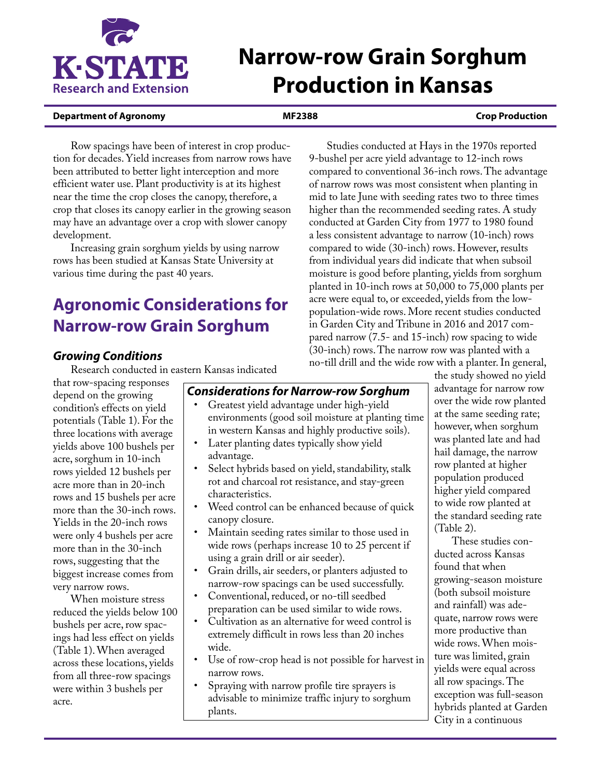

# **Narrow-row Grain Sorghum Production in Kansas**

#### **Department of Agronomy MF2388 Crop Production**

Row spacings have been of interest in crop production for decades. Yield increases from narrow rows have been attributed to better light interception and more efficient water use. Plant productivity is at its highest near the time the crop closes the canopy, therefore, a crop that closes its canopy earlier in the growing season may have an advantage over a crop with slower canopy development.

Increasing grain sorghum yields by using narrow rows has been studied at Kansas State University at various time during the past 40 years.

## **Agronomic Considerations for Narrow-row Grain Sorghum**

#### *Growing Conditions*

Research conducted in eastern Kansas indicated

that row-spacing responses depend on the growing condition's effects on yield potentials (Table 1). For the three locations with average yields above 100 bushels per acre, sorghum in 10-inch rows yielded 12 bushels per acre more than in 20-inch rows and 15 bushels per acre more than the 30-inch rows. Yields in the 20-inch rows were only 4 bushels per acre more than in the 30-inch rows, suggesting that the biggest increase comes from very narrow rows.

When moisture stress reduced the yields below 100 bushels per acre, row spacings had less effect on yields (Table 1). When averaged across these locations, yields from all three-row spacings were within 3 bushels per acre.

a less consistent advantage to narrow (10-inch) rows compared to wide (30-inch) rows. However, results from individual years did indicate that when subsoil moisture is good before planting, yields from sorghum planted in 10-inch rows at 50,000 to 75,000 plants per acre were equal to, or exceeded, yields from the lowpopulation-wide rows. More recent studies conducted in Garden City and Tribune in 2016 and 2017 compared narrow (7.5- and 15-inch) row spacing to wide (30-inch) rows. The narrow row was planted with a no-till drill and the wide row with a planter. In general,

Studies conducted at Hays in the 1970s reported

9-bushel per acre yield advantage to 12-inch rows compared to conventional 36-inch rows. The advantage of narrow rows was most consistent when planting in mid to late June with seeding rates two to three times higher than the recommended seeding rates. A study conducted at Garden City from 1977 to 1980 found

> the study showed no yield advantage for narrow row over the wide row planted at the same seeding rate; however, when sorghum was planted late and had hail damage, the narrow row planted at higher population produced higher yield compared to wide row planted at the standard seeding rate (Table 2).

These studies conducted across Kansas found that when growing-season moisture (both subsoil moisture and rainfall) was adequate, narrow rows were more productive than wide rows. When moisture was limited, grain yields were equal across all row spacings. The exception was full-season hybrids planted at Garden City in a continuous

*Considerations for Narrow-row Sorghum* 

- Greatest yield advantage under high-yield environments (good soil moisture at planting time in western Kansas and highly productive soils).
- Later planting dates typically show yield advantage.
- Select hybrids based on yield, standability, stalk rot and charcoal rot resistance, and stay-green characteristics.
- Weed control can be enhanced because of quick canopy closure.
- Maintain seeding rates similar to those used in wide rows (perhaps increase 10 to 25 percent if using a grain drill or air seeder).
- Grain drills, air seeders, or planters adjusted to narrow-row spacings can be used successfully.
- Conventional, reduced, or no-till seedbed preparation can be used similar to wide rows.
- Cultivation as an alternative for weed control is extremely difficult in rows less than 20 inches wide.
- Use of row-crop head is not possible for harvest in narrow rows.
- Spraying with narrow profile tire sprayers is advisable to minimize traffic injury to sorghum plants.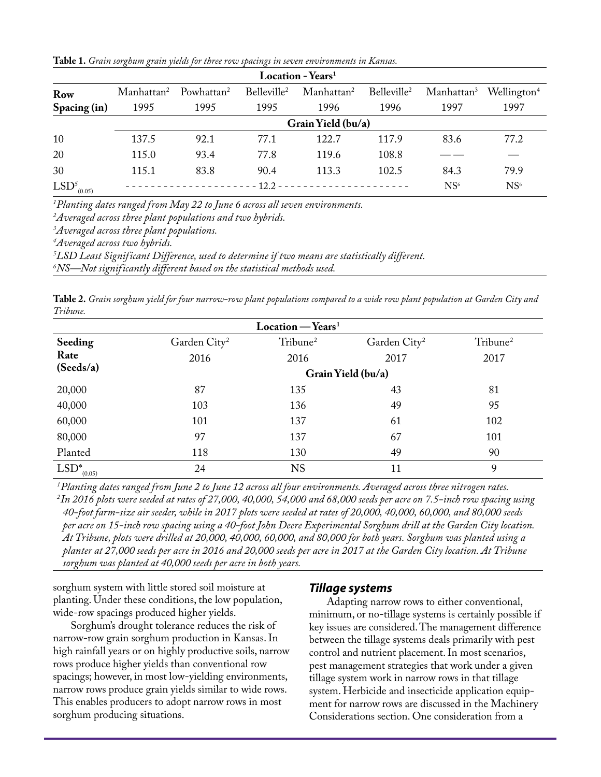|  |  |  |  |  | Table 1. Grain sorghum grain yields for three row spacings in seven environments in Kansas. |  |
|--|--|--|--|--|---------------------------------------------------------------------------------------------|--|
|  |  |  |  |  |                                                                                             |  |

| <b>Location - Years</b> <sup>1</sup> |                        |                        |                         |                                              |                         |                                                |                 |  |  |  |
|--------------------------------------|------------------------|------------------------|-------------------------|----------------------------------------------|-------------------------|------------------------------------------------|-----------------|--|--|--|
| Row                                  | Manhattan <sup>2</sup> | Powhattan <sup>2</sup> | Belleville <sup>2</sup> | Manhattan <sup>2</sup>                       | Belleville <sup>2</sup> | Manhattan <sup>3</sup> Wellington <sup>4</sup> |                 |  |  |  |
| Spacing (in)                         | 1995                   | 1995                   | 1995                    | 1996                                         | 1996                    | 1997                                           | 1997            |  |  |  |
|                                      | Grain Yield (bu/a)     |                        |                         |                                              |                         |                                                |                 |  |  |  |
| 10                                   | 137.5                  | 92.1                   | 77.1                    | 122.7                                        | 117.9                   | 83.6                                           | 77.2            |  |  |  |
| 20                                   | 115.0                  | 93.4                   | 77.8                    | 119.6                                        | 108.8                   |                                                |                 |  |  |  |
| 30                                   | 115.1                  | 83.8                   | 90.4                    | 113.3                                        | 102.5                   | 84.3                                           | 79.9            |  |  |  |
| $LSD5_{(0.05)}$                      |                        |                        |                         | $12.2 - - - - - - - - - - - - - - - - - - -$ |                         | NS <sup>6</sup>                                | NS <sup>6</sup> |  |  |  |

*1 Planting dates ranged from May 22 to June 6 across all seven environments.* 

*2 Averaged across three plant populations and two hybrids.* 

*3 Averaged across three plant populations.* 

*4 Averaged across two hybrids.*

*5 LSD Least Significant Difference, used to determine if two means are statistically different.* 

*6 NS—Not significantly different based on the statistical methods used.*

**Table 2.** *Grain sorghum yield for four narrow-row plant populations compared to a wide row plant population at Garden City and Tribune.* 

|                   |                          | $Location - Years1$  |                          |                      |  |  |  |
|-------------------|--------------------------|----------------------|--------------------------|----------------------|--|--|--|
| Seeding           | Garden City <sup>2</sup> | Tribune <sup>2</sup> | Garden City <sup>2</sup> | Tribune <sup>2</sup> |  |  |  |
| Rate              | 2016                     | 2016                 | 2017                     | 2017                 |  |  |  |
| (Seeds/a)         | Grain Yield (bu/a)       |                      |                          |                      |  |  |  |
| 20,000            | 87                       | 135                  | 43                       | 81                   |  |  |  |
| 40,000            | 103                      | 136                  | 49                       | 95                   |  |  |  |
| 60,000            | 101                      | 137                  | 61                       | 102                  |  |  |  |
| 80,000            | 97                       | 137                  | 67                       | 101                  |  |  |  |
| Planted           | 118                      | 130                  | 49                       | 90                   |  |  |  |
| $LSD^*$<br>(0.05) | 24                       | <b>NS</b>            | 11                       | 9                    |  |  |  |

*1Planting dates ranged from June 2 to June 12 across all four environments. Averaged across three nitrogen rates. 2In 2016 plots were seeded at rates of 27,000, 40,000, 54,000 and 68,000 seeds per acre on 7.5-inch row spacing using 40-foot farm-size air seeder, while in 2017 plots were seeded at rates of 20,000, 40,000, 60,000, and 80,000 seeds per acre on 15-inch row spacing using a 40-foot John Deere Experimental Sorghum drill at the Garden City location. At Tribune, plots were drilled at 20,000, 40,000, 60,000, and 80,000 for both years. Sorghum was planted using a planter at 27,000 seeds per acre in 2016 and 20,000 seeds per acre in 2017 at the Garden City location. At Tribune sorghum was planted at 40,000 seeds per acre in both years.*

sorghum system with little stored soil moisture at planting. Under these conditions, the low population, wide-row spacings produced higher yields.

Sorghum's drought tolerance reduces the risk of narrow-row grain sorghum production in Kansas. In high rainfall years or on highly productive soils, narrow rows produce higher yields than conventional row spacings; however, in most low-yielding environments, narrow rows produce grain yields similar to wide rows. This enables producers to adopt narrow rows in most sorghum producing situations.

#### *Tillage systems*

Adapting narrow rows to either conventional, minimum, or no-tillage systems is certainly possible if key issues are considered. The management difference between the tillage systems deals primarily with pest control and nutrient placement. In most scenarios, pest management strategies that work under a given tillage system work in narrow rows in that tillage system. Herbicide and insecticide application equipment for narrow rows are discussed in the Machinery Considerations section. One consideration from a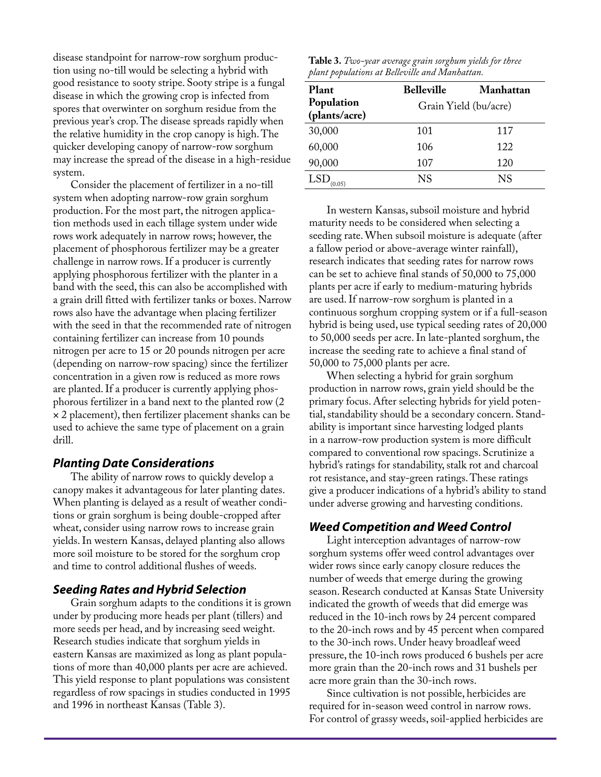disease standpoint for narrow-row sorghum production using no-till would be selecting a hybrid with good resistance to sooty stripe. Sooty stripe is a fungal disease in which the growing crop is infected from spores that overwinter on sorghum residue from the previous year's crop. The disease spreads rapidly when the relative humidity in the crop canopy is high. The quicker developing canopy of narrow-row sorghum may increase the spread of the disease in a high-residue system.

Consider the placement of fertilizer in a no-till system when adopting narrow-row grain sorghum production. For the most part, the nitrogen application methods used in each tillage system under wide rows work adequately in narrow rows; however, the placement of phosphorous fertilizer may be a greater challenge in narrow rows. If a producer is currently applying phosphorous fertilizer with the planter in a band with the seed, this can also be accomplished with a grain drill fitted with fertilizer tanks or boxes. Narrow rows also have the advantage when placing fertilizer with the seed in that the recommended rate of nitrogen containing fertilizer can increase from 10 pounds nitrogen per acre to 15 or 20 pounds nitrogen per acre (depending on narrow-row spacing) since the fertilizer concentration in a given row is reduced as more rows are planted. If a producer is currently applying phosphorous fertilizer in a band next to the planted row (2 × 2 placement), then fertilizer placement shanks can be used to achieve the same type of placement on a grain drill.

#### *Planting Date Considerations*

The ability of narrow rows to quickly develop a canopy makes it advantageous for later planting dates. When planting is delayed as a result of weather conditions or grain sorghum is being double-cropped after wheat, consider using narrow rows to increase grain yields. In western Kansas, delayed planting also allows more soil moisture to be stored for the sorghum crop and time to control additional flushes of weeds.

#### *Seeding Rates and Hybrid Selection*

Grain sorghum adapts to the conditions it is grown under by producing more heads per plant (tillers) and more seeds per head, and by increasing seed weight. Research studies indicate that sorghum yields in eastern Kansas are maximized as long as plant populations of more than 40,000 plants per acre are achieved. This yield response to plant populations was consistent regardless of row spacings in studies conducted in 1995 and 1996 in northeast Kansas (Table 3).

| ${\bf Table~3.}$ Two-year average grain sorghum yields for three |  |  |
|------------------------------------------------------------------|--|--|
| plant populations at Belleville and Manhattan.                   |  |  |

| Plant                       | <b>Belleville</b> | Manhattan             |
|-----------------------------|-------------------|-----------------------|
| Population<br>(plants/acre) |                   | Grain Yield (bu/acre) |
| 30,000                      | 101               | 117                   |
| 60,000                      | 106               | 122                   |
| 90,000                      | 107               | 120                   |
| LSD                         | NS                | NS                    |

In western Kansas, subsoil moisture and hybrid maturity needs to be considered when selecting a seeding rate. When subsoil moisture is adequate (after a fallow period or above-average winter rainfall), research indicates that seeding rates for narrow rows can be set to achieve final stands of 50,000 to 75,000 plants per acre if early to medium-maturing hybrids are used. If narrow-row sorghum is planted in a continuous sorghum cropping system or if a full-season hybrid is being used, use typical seeding rates of 20,000 to 50,000 seeds per acre. In late-planted sorghum, the increase the seeding rate to achieve a final stand of 50,000 to 75,000 plants per acre.

When selecting a hybrid for grain sorghum production in narrow rows, grain yield should be the primary focus. After selecting hybrids for yield potential, standability should be a secondary concern. Standability is important since harvesting lodged plants in a narrow-row production system is more difficult compared to conventional row spacings. Scrutinize a hybrid's ratings for standability, stalk rot and charcoal rot resistance, and stay-green ratings. These ratings give a producer indications of a hybrid's ability to stand under adverse growing and harvesting conditions.

#### *Weed Competition and Weed Control*

Light interception advantages of narrow-row sorghum systems offer weed control advantages over wider rows since early canopy closure reduces the number of weeds that emerge during the growing season. Research conducted at Kansas State University indicated the growth of weeds that did emerge was reduced in the 10-inch rows by 24 percent compared to the 20-inch rows and by 45 percent when compared to the 30-inch rows. Under heavy broadleaf weed pressure, the 10-inch rows produced 6 bushels per acre more grain than the 20-inch rows and 31 bushels per acre more grain than the 30-inch rows.

Since cultivation is not possible, herbicides are required for in-season weed control in narrow rows. For control of grassy weeds, soil-applied herbicides are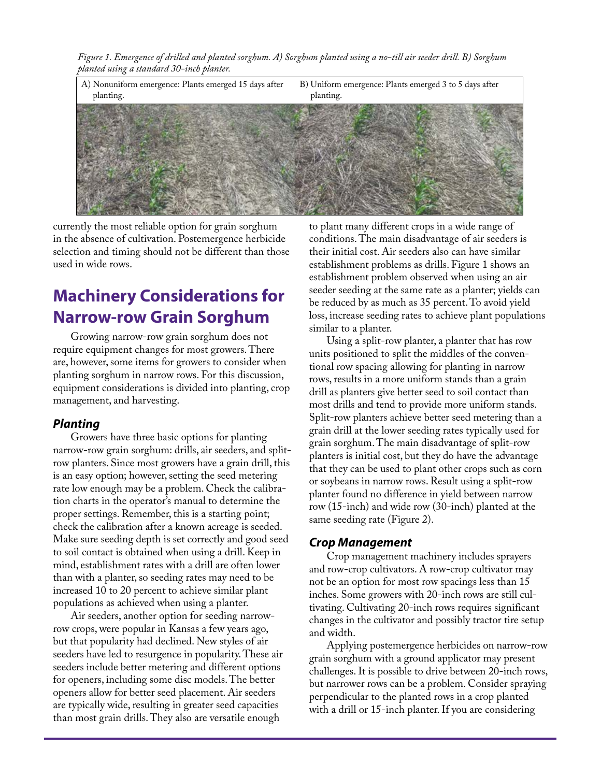*Figure 1. Emergence of drilled and planted sorghum. A) Sorghum planted using a no-till air seeder drill. B) Sorghum planted using a standard 30-inch planter.*



currently the most reliable option for grain sorghum in the absence of cultivation. Postemergence herbicide selection and timing should not be different than those used in wide rows.

## **Machinery Considerations for Narrow-row Grain Sorghum**

Growing narrow-row grain sorghum does not require equipment changes for most growers. There are, however, some items for growers to consider when planting sorghum in narrow rows. For this discussion, equipment considerations is divided into planting, crop management, and harvesting.

#### *Planting*

Growers have three basic options for planting narrow-row grain sorghum: drills, air seeders, and splitrow planters. Since most growers have a grain drill, this is an easy option; however, setting the seed metering rate low enough may be a problem. Check the calibration charts in the operator's manual to determine the proper settings. Remember, this is a starting point; check the calibration after a known acreage is seeded. Make sure seeding depth is set correctly and good seed to soil contact is obtained when using a drill. Keep in mind, establishment rates with a drill are often lower than with a planter, so seeding rates may need to be increased 10 to 20 percent to achieve similar plant populations as achieved when using a planter.

Air seeders, another option for seeding narrowrow crops, were popular in Kansas a few years ago, but that popularity had declined. New styles of air seeders have led to resurgence in popularity. These air seeders include better metering and different options for openers, including some disc models. The better openers allow for better seed placement. Air seeders are typically wide, resulting in greater seed capacities than most grain drills. They also are versatile enough

to plant many different crops in a wide range of conditions. The main disadvantage of air seeders is their initial cost. Air seeders also can have similar establishment problems as drills. Figure 1 shows an establishment problem observed when using an air seeder seeding at the same rate as a planter; yields can be reduced by as much as 35 percent. To avoid yield loss, increase seeding rates to achieve plant populations similar to a planter.

Using a split-row planter, a planter that has row units positioned to split the middles of the conventional row spacing allowing for planting in narrow rows, results in a more uniform stands than a grain drill as planters give better seed to soil contact than most drills and tend to provide more uniform stands. Split-row planters achieve better seed metering than a grain drill at the lower seeding rates typically used for grain sorghum. The main disadvantage of split-row planters is initial cost, but they do have the advantage that they can be used to plant other crops such as corn or soybeans in narrow rows. Result using a split-row planter found no difference in yield between narrow row (15-inch) and wide row (30-inch) planted at the same seeding rate (Figure 2).

#### *Crop Management*

Crop management machinery includes sprayers and row-crop cultivators. A row-crop cultivator may not be an option for most row spacings less than 15 inches. Some growers with 20-inch rows are still cultivating. Cultivating 20-inch rows requires significant changes in the cultivator and possibly tractor tire setup and width.

Applying postemergence herbicides on narrow-row grain sorghum with a ground applicator may present challenges. It is possible to drive between 20-inch rows, but narrower rows can be a problem. Consider spraying perpendicular to the planted rows in a crop planted with a drill or 15-inch planter. If you are considering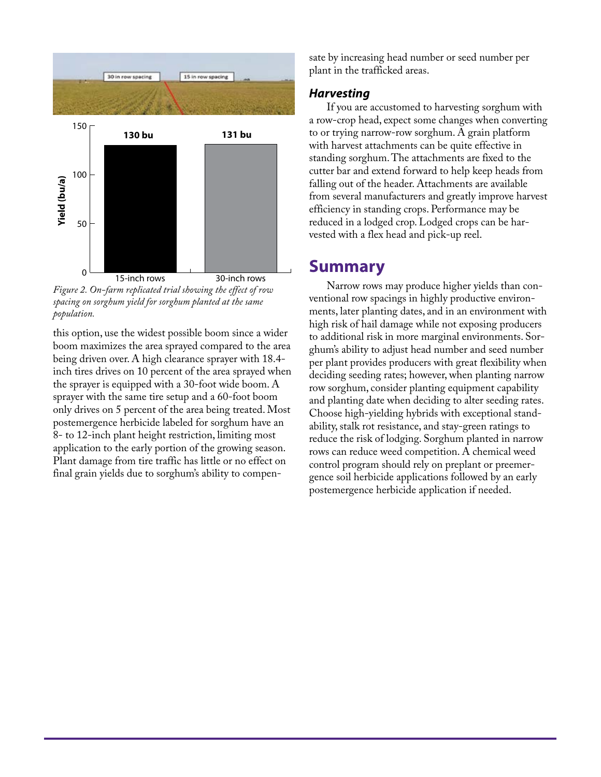

*Figure 2. On-farm replicated trial showing the effect of row spacing on sorghum yield for sorghum planted at the same population.*

this option, use the widest possible boom since a wider boom maximizes the area sprayed compared to the area being driven over. A high clearance sprayer with 18.4 inch tires drives on 10 percent of the area sprayed when the sprayer is equipped with a 30-foot wide boom. A sprayer with the same tire setup and a 60-foot boom only drives on 5 percent of the area being treated. Most postemergence herbicide labeled for sorghum have an 8- to 12-inch plant height restriction, limiting most application to the early portion of the growing season. Plant damage from tire traffic has little or no effect on final grain yields due to sorghum's ability to compensate by increasing head number or seed number per plant in the trafficked areas.

#### *Harvesting*

If you are accustomed to harvesting sorghum with a row-crop head, expect some changes when converting to or trying narrow-row sorghum. A grain platform with harvest attachments can be quite effective in standing sorghum. The attachments are fixed to the cutter bar and extend forward to help keep heads from falling out of the header. Attachments are available from several manufacturers and greatly improve harvest efficiency in standing crops. Performance may be reduced in a lodged crop. Lodged crops can be harvested with a flex head and pick-up reel.

### **Summary**

Narrow rows may produce higher yields than conventional row spacings in highly productive environments, later planting dates, and in an environment with high risk of hail damage while not exposing producers to additional risk in more marginal environments. Sorghum's ability to adjust head number and seed number per plant provides producers with great flexibility when deciding seeding rates; however, when planting narrow row sorghum, consider planting equipment capability and planting date when deciding to alter seeding rates. Choose high-yielding hybrids with exceptional standability, stalk rot resistance, and stay-green ratings to reduce the risk of lodging. Sorghum planted in narrow rows can reduce weed competition. A chemical weed control program should rely on preplant or preemergence soil herbicide applications followed by an early postemergence herbicide application if needed.